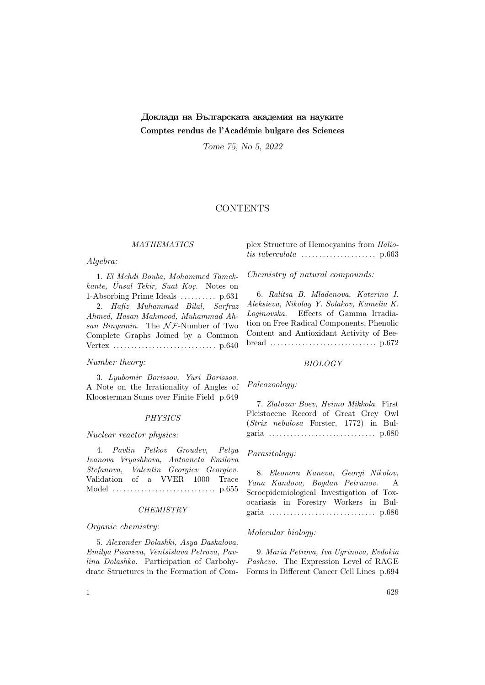# Доклади на Българската академия на науките Comptes rendus de l'Académie bulgare des Sciences

Tome 75, No 5, 2022

## **CONTENTS**

## **MATHEMATICS**

## Algebra:

1. El Mehdi Bouba, Mohammed Tamek $kante, \quad \ddot{U}nsal \quad Tekir, \quad Suat \quad Ko\mathfrak{c}.$  Notes on 1-Absorbing Prime Ideals ........... p.631 2. Hafiz Muhammad Bilal, Sarfraz Ahmed, Hasan Mahmood, Muhammad Ahsan Binyamin. The  $N \mathcal{F}$ -Number of Two Complete Graphs Joined by a Common Vertex . . . . . . . . . . . . . . . . . . . . . . . . . . . . . p.640

## Number theory:

3. Lyubomir Borissov, Yuri Borissov. A Note on the Irrationality of Angles of Kloosterman Sums over Finite Field p.649

#### **PHYSICS**

## Nuclear reactor physics:

4. Pavlin Petkov Groudev, Petya Ivanova Vryashkova, Antoaneta Emilova Stefanova, Valentin Georgiev Georgiev. Validation of a VVER 1000 Trace Model . . . . . . . . . . . . . . . . . . . . . . . . . . . . . p.655

#### **CHEMISTRY**

#### Organic chemistry:

5. Alexander Dolashki, Asya Daskalova, Emilya Pisareva, Ventsislava Petrova, Pavlina Dolashka. Participation of Carbohydrate Structures in the Formation of Complex Structure of Hemocyanins from Haliotis tuberculata . . . . . . . . . . . . . . . . . . . . . p.663

Chemistry of natural compounds:

6. Ralitsa B. Mladenova, Katerina I. Aleksieva, Nikolay Y. Solakov, Kamelia K. Loginovska. Effects of Gamma Irradiation on Free Radical Components, Phenolic Content and Antioxidant Activity of Beebread . . . . . . . . . . . . . . . . . . . . . . . . . . . . . . p.672

#### BIOLOGY

#### Paleozoology:

7. Zlatozar Boev, Heimo Mikkola. First Pleistocene Record of Great Grey Owl (Strix nebulosa Forster, 1772) in Bulgaria . . . . . . . . . . . . . . . . . . . . . . . . . . . . . . p.680

## Parasitology:

8. Eleonora Kaneva, Georgi Nikolov, Yana Kandova, Bogdan Petrunov. A Seroepidemiological Investigation of Toxocariasis in Forestry Workers in Bulgaria . . . . . . . . . . . . . . . . . . . . . . . . . . . . . . p.686

## Molecular biology:

9. Maria Petrova, Iva Ugrinova, Evdokia Pasheva. The Expression Level of RAGE Forms in Different Cancer Cell Lines p.694